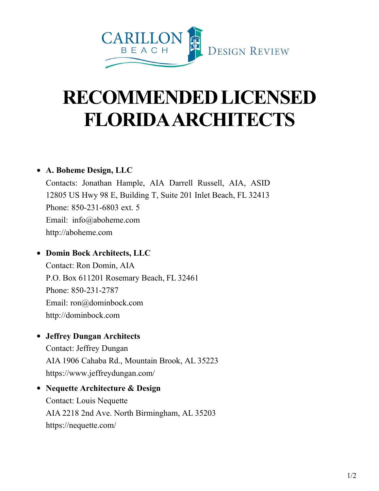

# **RECOMMENDEDLICENSED FLORIDAARCHITECTS**

## **A. Boheme Design, LLC**

Contacts: Jonathan Hample, AIA Darrell Russell, AIA, ASID 12805 US Hwy 98 E, Building T, Suite 201 Inlet Beach, FL 32413 Phone: 850-231-6803 ext. 5 Email: [info@aboheme.com](mailto:info@aboheme.com) [http://aboheme.com](http://aboheme.com/)

# **Domin Bock Architects, LLC**

Contact: Ron Domin, AIA P.O. Box 611201 Rosemary Beach, FL 32461 Phone: 850-231-2787 Email: [ron@dominbock.com](mailto:ron@dominbock.com) [http://dominbock.com](http://dominbock.com/)

## **Jeffrey Dungan Architects**

Contact: Jeffrey Dungan AIA 1906 Cahaba Rd., Mountain Brook, AL 35223 [https://www.](http://www.jeffreydungan.com/)je[ffreydungan.com/](http://www.jeffreydungan.com/)

**Nequette Architecture & Design** Contact: Louis Nequette AIA 2218 2nd Ave. North Birmingham, AL 35203 https://nequette.com/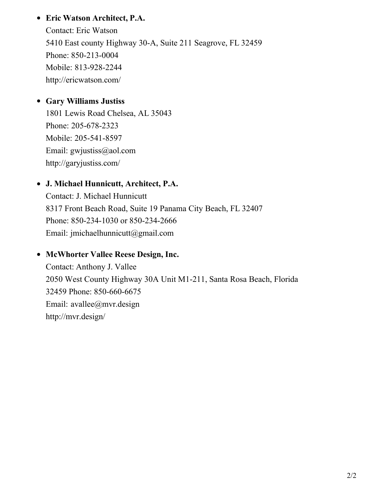# **Eric Watson Architect, P.A.**

Contact: Eric Watson 5410 East county Highway 30-A, Suite 211 Seagrove, FL 32459 Phone: 850-213-0004 Mobile: 813-928-2244 <http://ericwatson.com/>

# **Gary Williams Justiss**

1801 Lewis Road Chelsea, AL 35043 Phone: 205-678-2323 Mobile: 205-541-8597 Email: [gwjustiss@aol.com](mailto:gwjustiss@aol.com) <http://garyjustiss.com/>

# **J. Michael Hunnicutt, Architect, P.A.**

Contact: J. Michael Hunnicutt 8317 Front Beach Road, Suite 19 Panama City Beach, FL 32407 Phone: 850-234-1030 or 850-234-2666 Email: [jmichaelhunnicutt@gmail.com](mailto:jmichaelhunnicutt@gmail.com)

## **McWhorter Vallee Reese Design, Inc.**

Contact: Anthony J. Vallee 2050 West County Highway 30A Unit M1-211, Santa Rosa Beach, Florida 32459 Phone: 850-660-6675 Email: [avallee@mvr.design](mailto:vwilliams@vbadesign.us)  [http://mvr.design/](http://vbadesign.us/)